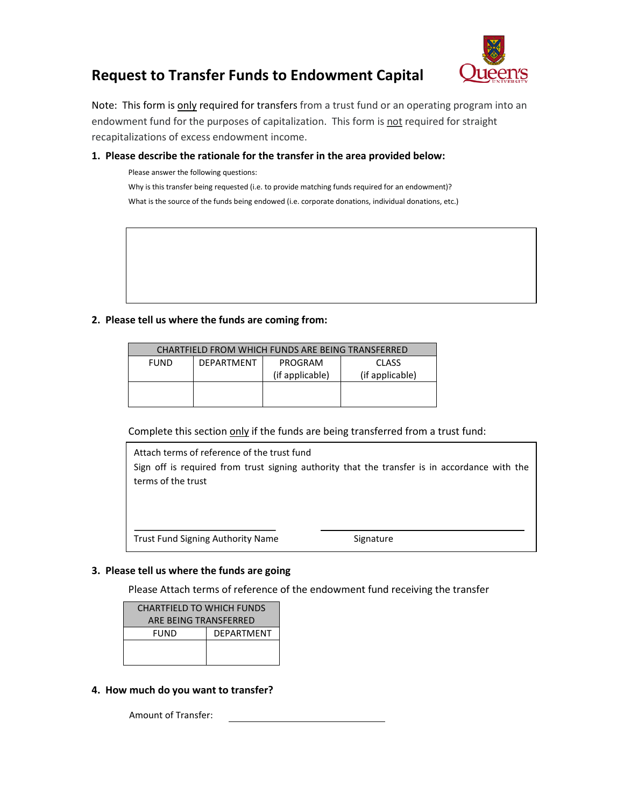

# **Request to Transfer Funds to Endowment Capital**

Note: This form is **only** required for transfers from a trust fund or an operating program into an endowment fund for the purposes of capitalization. This form is not required for straight recapitalizations of excess endowment income.

### **1. Please describe the rationale for the transfer in the area provided below:**

Why is this transfer being requested (i.e. to provide matching funds required for an endowment)? Please answer the following questions: What is the source of the funds being endowed (i.e. corporate donations, individual donations, etc.)

### **2. Please tell us where the funds are coming from:**

| <b>CHARTFIELD FROM WHICH FUNDS ARE BEING TRANSFERRED</b> |                   |                 |                 |  |  |
|----------------------------------------------------------|-------------------|-----------------|-----------------|--|--|
| <b>FUND</b>                                              | <b>DEPARTMENT</b> | PROGRAM         | <b>CLASS</b>    |  |  |
|                                                          |                   | (if applicable) | (if applicable) |  |  |
|                                                          |                   |                 |                 |  |  |
|                                                          |                   |                 |                 |  |  |

Complete this section only if the funds are being transferred from a trust fund:



### **3. Please tell us where the funds are going**

Please Attach terms of reference of the endowment fund receiving the transfer

| <b>CHARTFIELD TO WHICH FUNDS</b> |                   |  |  |  |
|----------------------------------|-------------------|--|--|--|
| ARE BEING TRANSFERRED            |                   |  |  |  |
| FUND                             | <b>DFPARTMENT</b> |  |  |  |
|                                  |                   |  |  |  |
|                                  |                   |  |  |  |

### **4. How much do you want to transfer?**

Amount of Transfer: